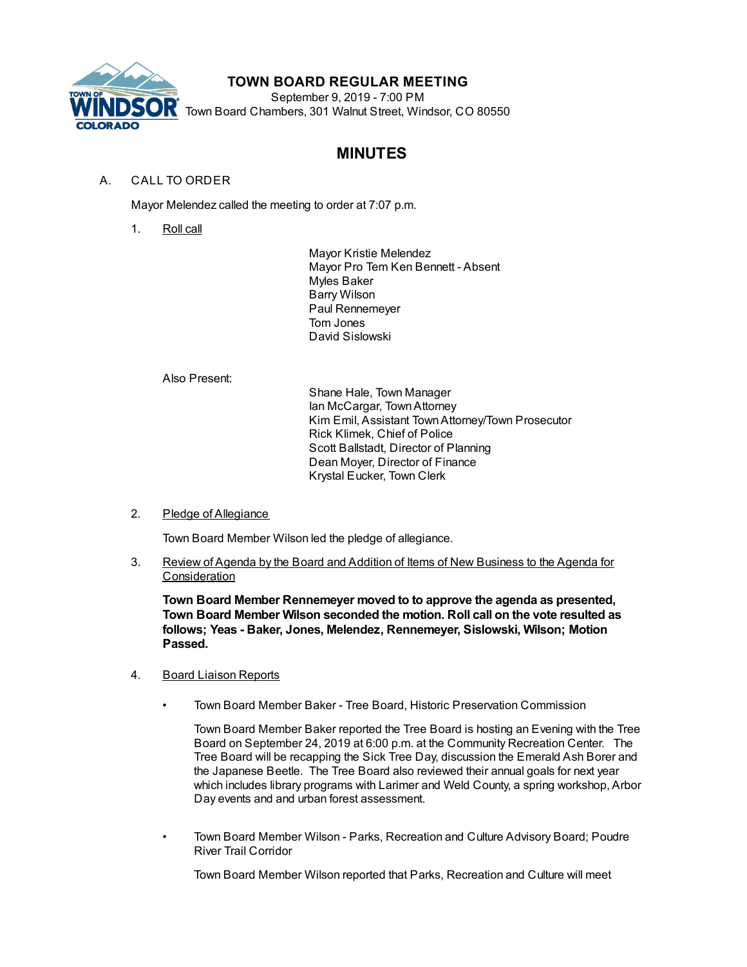

## **TOWN BOARD REGULAR MEETING**

September 9, 2019 - 7:00 PM Town Board Chambers, 301 Walnut Street, Windsor, CO 80550

# **MINUTES**

### A. CALL TO ORDER

Mayor Melendez called the meeting to order at 7:07 p.m.

1. Roll call

Mayor Kristie Melendez Mayor Pro Tem Ken Bennett - Absent Myles Baker Barry Wilson Paul Rennemeyer Tom Jones David Sislowski

Also Present:

Shane Hale, Town Manager Ian McCargar, TownAttorney Kim Emil, Assistant TownAttorney/Town Prosecutor Rick Klimek, Chief of Police Scott Ballstadt, Director of Planning Dean Moyer, Director of Finance Krystal Eucker, Town Clerk

2. Pledge of Allegiance

Town Board Member Wilson led the pledge of allegiance.

3. Review of Agenda by the Board and Addition of Items of New Business to the Agenda for **Consideration** 

**Town Board Member Rennemeyer moved to to approve the agenda as presented, Town Board Member Wilson seconded the motion. Roll call on the vote resulted as follows; Yeas - Baker, Jones, Melendez, Rennemeyer, Sislowski, Wilson; Motion Passed.**

- 4. Board Liaison Reports
	- Town Board Member Baker Tree Board, Historic Preservation Commission

Town Board Member Baker reported the Tree Board is hosting an Evening with the Tree Board on September 24, 2019 at 6:00 p.m. at the Community Recreation Center. The Tree Board will be recapping the Sick Tree Day, discussion the Emerald Ash Borer and the Japanese Beetle. The Tree Board also reviewed their annual goals for next year which includes library programs with Larimer and Weld County, a spring workshop, Arbor Day events and and urban forest assessment.

• Town Board Member Wilson - Parks, Recreation and Culture Advisory Board; Poudre River Trail Corridor

Town Board Member Wilson reported that Parks, Recreation and Culture will meet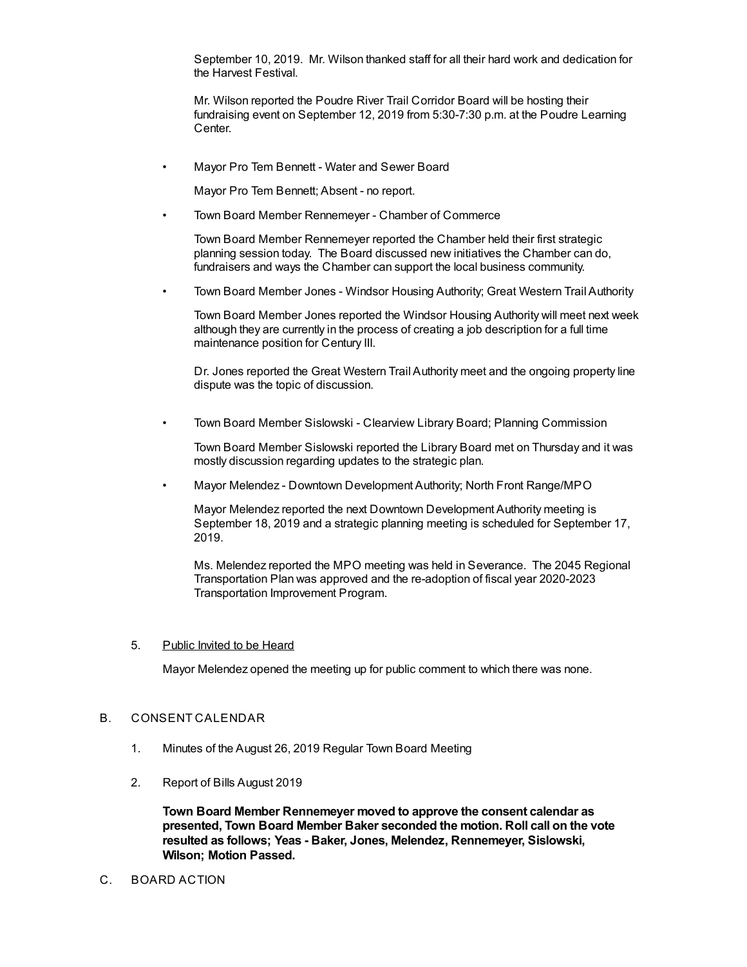September 10, 2019. Mr. Wilson thanked staff for all their hard work and dedication for the Harvest Festival.

Mr. Wilson reported the Poudre River Trail Corridor Board will be hosting their fundraising event on September 12, 2019 from 5:30-7:30 p.m. at the Poudre Learning Center.

• Mayor Pro Tem Bennett - Water and Sewer Board

Mayor Pro Tem Bennett; Absent - no report.

• Town Board Member Rennemeyer - Chamber of Commerce

Town Board Member Rennemeyer reported the Chamber held their first strategic planning session today. The Board discussed new initiatives the Chamber can do, fundraisers and ways the Chamber can support the local business community.

• Town Board Member Jones - Windsor Housing Authority; Great Western Trail Authority

Town Board Member Jones reported the Windsor Housing Authority will meet next week although they are currently in the process of creating a job description for a full time maintenance position for Century III.

Dr. Jones reported the Great Western Trail Authority meet and the ongoing property line dispute was the topic of discussion.

• Town Board Member Sislowski - Clearview Library Board; Planning Commission

Town Board Member Sislowski reported the Library Board met on Thursday and it was mostly discussion regarding updates to the strategic plan.

• Mayor Melendez - Downtown Development Authority; North Front Range/MPO

Mayor Melendez reported the next Downtown Development Authority meeting is September 18, 2019 and a strategic planning meeting is scheduled for September 17, 2019.

Ms. Melendez reported the MPO meeting was held in Severance. The 2045 Regional Transportation Plan was approved and the re-adoption of fiscal year 2020-2023 Transportation Improvement Program.

#### 5. Public Invited to be Heard

Mayor Melendez opened the meeting up for public comment to which there was none.

#### B. CONSENT CALENDAR

- 1. Minutes of the August 26, 2019 Regular Town Board Meeting
- 2. Report of Bills August 2019

**Town Board Member Rennemeyer moved to approve the consent calendar as presented, Town Board Member Baker seconded the motion. Roll call on the vote resulted as follows; Yeas - Baker, Jones, Melendez, Rennemeyer, Sislowski, Wilson; Motion Passed.**

C. BOARD ACTION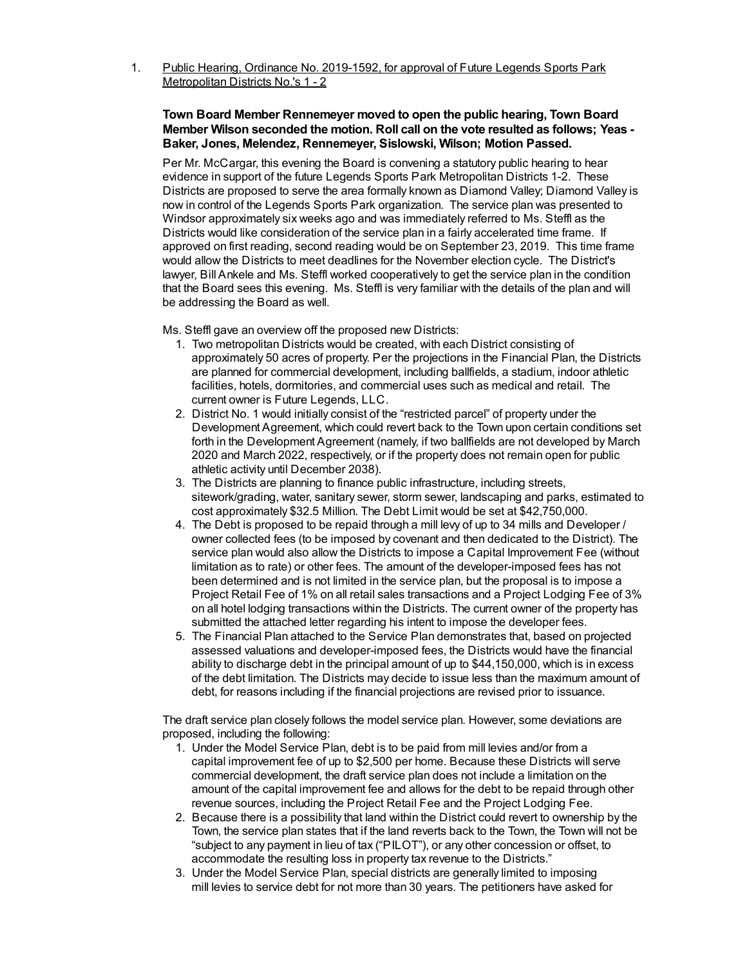1. Public Hearing, Ordinance No. 2019-1592, for approval of Future Legends Sports Park Metropolitan Districts No.'s 1 - 2

#### **Town Board Member Rennemeyer moved to open the public hearing, Town Board Member Wilson seconded the motion. Roll call on the vote resulted as follows; Yeas - Baker, Jones, Melendez, Rennemeyer, Sislowski, Wilson; Motion Passed.**

Per Mr. McCargar, this evening the Board is convening a statutory public hearing to hear evidence in support of the future Legends Sports Park Metropolitan Districts 1-2. These Districts are proposed to serve the area formally known as Diamond Valley; Diamond Valley is now in control of the Legends Sports Park organization. The service plan was presented to Windsor approximately six weeks ago and was immediately referred to Ms. Steffl as the Districts would like consideration of the service plan in a fairly accelerated time frame. If approved on first reading, second reading would be on September 23, 2019. This time frame would allow the Districts to meet deadlines for the November election cycle. The District's lawyer, Bill Ankele and Ms. Steffl worked cooperatively to get the service plan in the condition that the Board sees this evening. Ms. Steffl is very familiar with the details of the plan and will be addressing the Board as well.

Ms. Steffl gave an overview off the proposed new Districts:

- 1. Two metropolitan Districts would be created, with each District consisting of approximately 50 acres of property. Per the projections in the Financial Plan, the Districts are planned for commercial development, including ballfields, a stadium, indoor athletic facilities, hotels, dormitories, and commercial uses such as medical and retail. The current owner is Future Legends, LLC.
- 2. District No. 1 would initially consist of the "restricted parcel" of property under the Development Agreement, which could revert back to the Town upon certain conditions set forth in the Development Agreement (namely, if two ballfields are not developed by March 2020 and March 2022, respectively, or if the property does not remain open for public athletic activity until December 2038).
- 3. The Districts are planning to finance public infrastructure, including streets, sitework/grading, water, sanitary sewer, storm sewer, landscaping and parks, estimated to cost approximately \$32.5 Million. The Debt Limit would be set at \$42,750,000.
- 4. The Debt is proposed to be repaid through a mill levy of up to 34 mills and Developer / owner collected fees (to be imposed by covenant and then dedicated to the District). The service plan would also allow the Districts to impose a Capital Improvement Fee (without limitation as to rate) or other fees. The amount of the developer-imposed fees has not been determined and is not limited in the service plan, but the proposal is to impose a Project Retail Fee of 1% on all retail sales transactions and a Project Lodging Fee of 3% on all hotel lodging transactions within the Districts. The current owner of the property has submitted the attached letter regarding his intent to impose the developer fees.
- 5. The Financial Plan attached to the Service Plan demonstrates that, based on projected assessed valuations and developer-imposed fees, the Districts would have the financial ability to discharge debt in the principal amount of up to \$44,150,000, which is in excess of the debt limitation. The Districts may decide to issue less than the maximum amount of debt, for reasons including if the financial projections are revised prior to issuance.

The draft service plan closely follows the model service plan. However, some deviations are proposed, including the following:

- 1. Under the Model Service Plan, debt is to be paid from mill levies and/or from a capital improvement fee of up to \$2,500 per home. Because these Districts will serve commercial development, the draft service plan does not include a limitation on the amount of the capital improvement fee and allows for the debt to be repaid through other revenue sources, including the Project Retail Fee and the Project Lodging Fee.
- 2. Because there is a possibility that land within the District could revert to ownership by the Town, the service plan states that if the land reverts back to the Town, the Town will not be "subject to any payment in lieu of tax ("PILOT"), or any other concession or offset, to accommodate the resulting loss in property tax revenue to the Districts."
- 3. Under the Model Service Plan, special districts are generally limited to imposing mill levies to service debt for not more than 30 years. The petitioners have asked for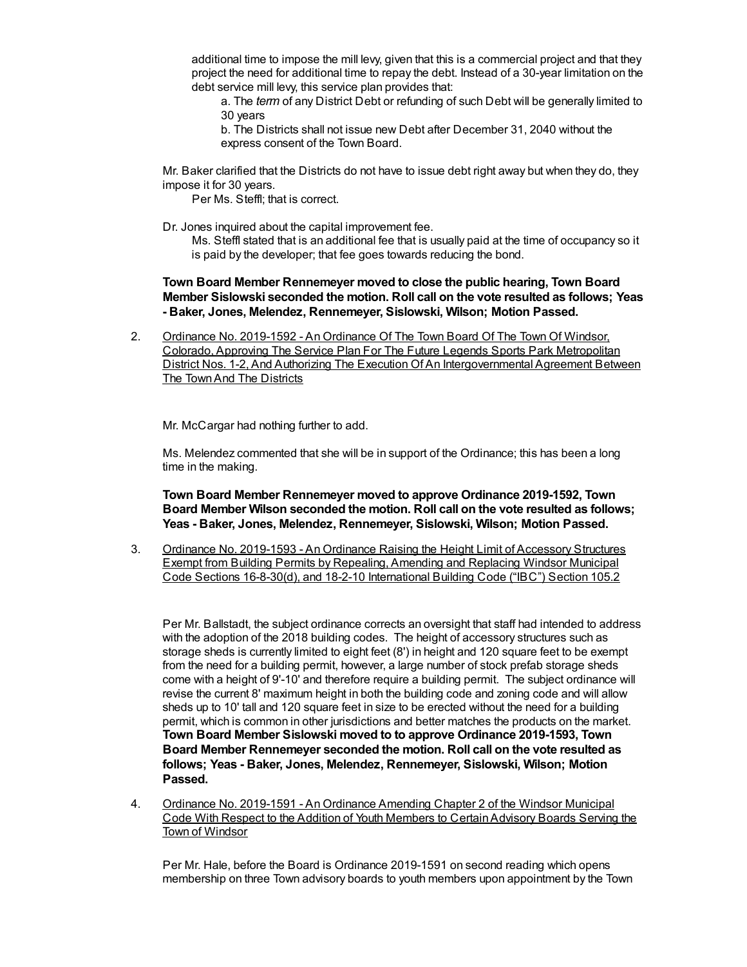additional time to impose the mill levy, given that this is a commercial project and that they project the need for additional time to repay the debt. Instead of a 30-year limitation on the debt service mill levy, this service plan provides that:

a. The *term* of any District Debt or refunding of such Debt will be generally limited to 30 years

b. The Districts shall not issue new Debt after December 31, 2040 without the express consent of the Town Board.

Mr. Baker clarified that the Districts do not have to issue debt right away but when they do, they impose it for 30 years.

Per Ms. Steffl; that is correct.

Dr. Jones inquired about the capital improvement fee.

Ms. Steffl stated that is an additional fee that is usually paid at the time of occupancy so it is paid by the developer; that fee goes towards reducing the bond.

**Town Board Member Rennemeyer moved to close the public hearing, Town Board Member Sislowski seconded the motion. Roll call on the vote resulted as follows; Yeas - Baker, Jones, Melendez, Rennemeyer, Sislowski, Wilson; Motion Passed.**

2. Ordinance No. 2019-1592 - An Ordinance Of The Town Board Of The Town Of Windsor, Colorado, Approving The Service Plan For The Future Legends Sports Park Metropolitan District Nos. 1-2, And Authorizing The Execution Of An Intergovernmental Agreement Between The TownAnd The Districts

Mr. McCargar had nothing further to add.

Ms. Melendez commented that she will be in support of the Ordinance; this has been a long time in the making.

**Town Board Member Rennemeyer moved to approve Ordinance 2019-1592, Town Board Member Wilson seconded the motion. Roll call on the vote resulted as follows; Yeas - Baker, Jones, Melendez, Rennemeyer, Sislowski, Wilson; Motion Passed.**

3. Ordinance No. 2019-1593 - An Ordinance Raising the Height Limit of Accessory Structures Exempt from Building Permits by Repealing, Amending and Replacing Windsor Municipal Code Sections 16-8-30(d), and 18-2-10 International Building Code ("IBC") Section 105.2

Per Mr. Ballstadt, the subject ordinance corrects an oversight that staff had intended to address with the adoption of the 2018 building codes. The height of accessory structures such as storage sheds is currently limited to eight feet (8') in height and 120 square feet to be exempt from the need for a building permit, however, a large number of stock prefab storage sheds come with a height of 9'-10' and therefore require a building permit. The subject ordinance will revise the current 8' maximum height in both the building code and zoning code and will allow sheds up to 10' tall and 120 square feet in size to be erected without the need for a building permit, which is common in other jurisdictions and better matches the products on the market. **Town Board Member Sislowski moved to to approve Ordinance 2019-1593, Town Board Member Rennemeyer seconded the motion. Roll call on the vote resulted as follows; Yeas - Baker, Jones, Melendez, Rennemeyer, Sislowski, Wilson; Motion Passed.**

4. Ordinance No. 2019-1591 - An Ordinance Amending Chapter 2 of the Windsor Municipal Code With Respect to the Addition of Youth Members to Certain Advisory Boards Serving the Town of Windsor

Per Mr. Hale, before the Board is Ordinance 2019-1591 on second reading which opens membership on three Town advisory boards to youth members upon appointment by the Town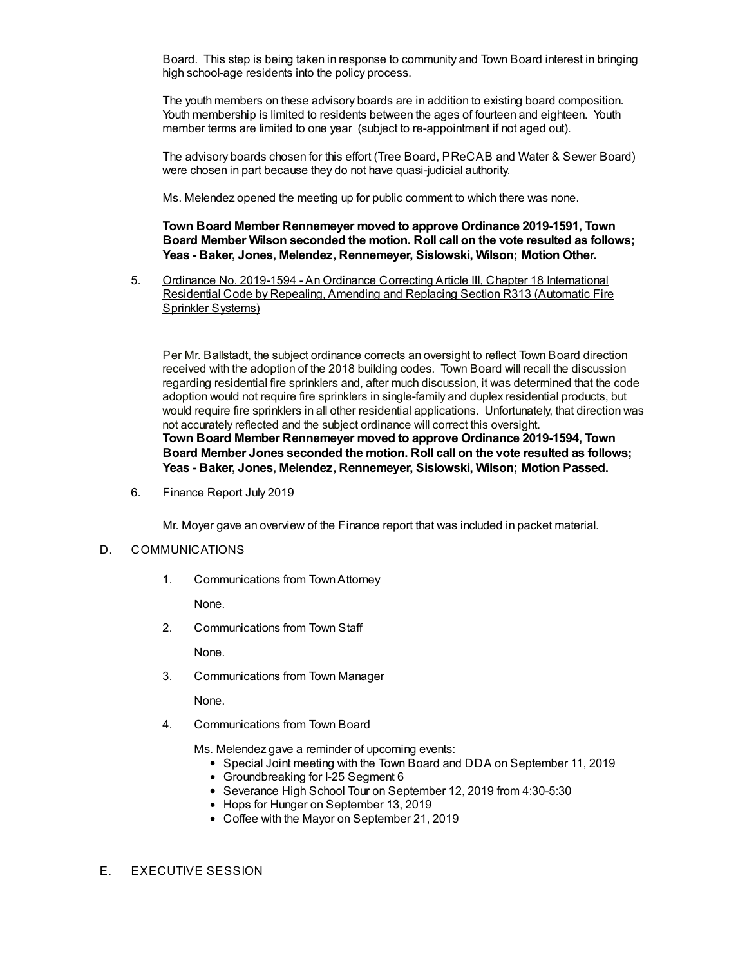Board. This step is being taken in response to community and Town Board interest in bringing high school-age residents into the policy process.

The youth members on these advisory boards are in addition to existing board composition. Youth membership is limited to residents between the ages of fourteen and eighteen. Youth member terms are limited to one year (subject to re-appointment if not aged out).

The advisory boards chosen for this effort (Tree Board, PReCAB and Water & Sewer Board) were chosen in part because they do not have quasi-judicial authority.

Ms. Melendez opened the meeting up for public comment to which there was none.

**Town Board Member Rennemeyer moved to approve Ordinance 2019-1591, Town Board Member Wilson seconded the motion. Roll call on the vote resulted as follows; Yeas - Baker, Jones, Melendez, Rennemeyer, Sislowski, Wilson; Motion Other.**

5. Ordinance No. 2019-1594 - An Ordinance Correcting Article III, Chapter 18 International Residential Code by Repealing, Amending and Replacing Section R313 (Automatic Fire Sprinkler Systems)

Per Mr. Ballstadt, the subject ordinance corrects an oversight to reflect Town Board direction received with the adoption of the 2018 building codes. Town Board will recall the discussion regarding residential fire sprinklers and, after much discussion, it was determined that the code adoption would not require fire sprinklers in single-family and duplex residential products, but would require fire sprinklers in all other residential applications. Unfortunately, that direction was not accurately reflected and the subject ordinance will correct this oversight. **Town Board Member Rennemeyer moved to approve Ordinance 2019-1594, Town Board Member Jones seconded the motion. Roll call on the vote resulted as follows; Yeas - Baker, Jones, Melendez, Rennemeyer, Sislowski, Wilson; Motion Passed.**

6. Finance Report July 2019

Mr. Moyer gave an overview of the Finance report that was included in packet material.

#### D. COMMUNICATIONS

1. Communications from TownAttorney

None.

2. Communications from Town Staff

None.

3. Communications from Town Manager

None.

4. Communications from Town Board

Ms. Melendez gave a reminder of upcoming events:

- Special Joint meeting with the Town Board and DDA on September 11, 2019
- Groundbreaking for I-25 Segment 6
- Severance High School Tour on September 12, 2019 from 4:30-5:30
- Hops for Hunger on September 13, 2019
- Coffee with the Mayor on September 21, 2019
- E. EXECUTIVE SESSION